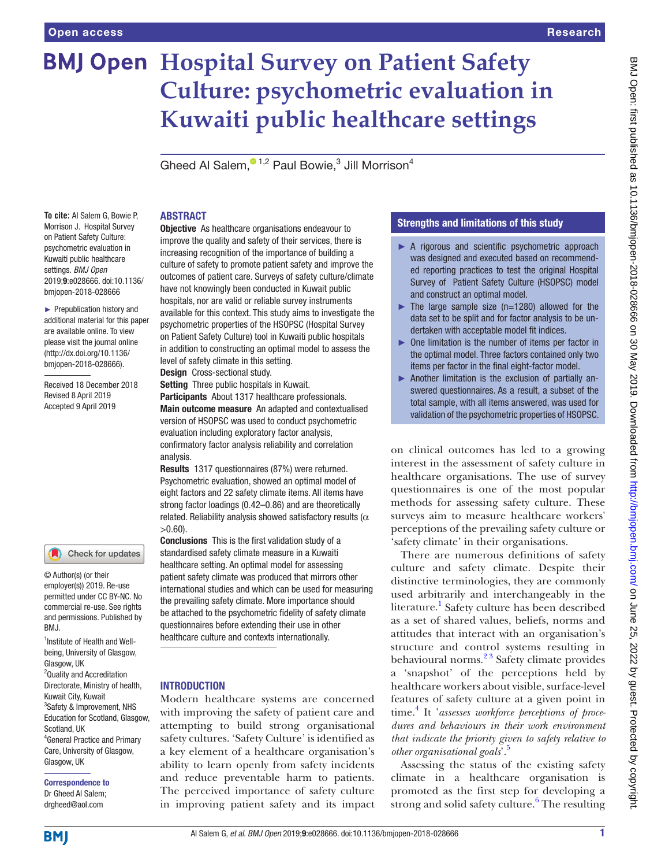# **BMJ Open Hospital Survey on Patient Safety Culture: psychometric evaluation in Kuwaiti public healthcare settings**

Gheed Al Salem[,](http://orcid.org/0000-0002-6497-6446) $^{\circ}$ <sup>1,2</sup> Paul Bowie,<sup>3</sup> Jill Morrison<sup>4</sup>

#### **To cite:** Al Salem G, Bowie P, Morrison J. Hospital Survey on Patient Safety Culture: psychometric evaluation in Kuwaiti public healthcare settings. *BMJ Open* 2019;9:e028666. doi:10.1136/ bmjopen-2018-028666

► Prepublication history and additional material for this paper are available online. To view please visit the journal online [\(http://dx.doi.org/10.1136/](http://dx.doi.org/10.1136/bmjopen-2018-028666) [bmjopen-2018-028666](http://dx.doi.org/10.1136/bmjopen-2018-028666)).

Received 18 December 2018 Revised 8 April 2019 Accepted 9 April 2019

## Check for updates

© Author(s) (or their employer(s)) 2019. Re-use permitted under CC BY-NC. No commercial re-use. See rights and permissions. Published by BMJ.

1 Institute of Health and Wellbeing, University of Glasgow, Glasgow, UK <sup>2</sup>Quality and Accreditation Directorate, Ministry of health, Kuwait City, Kuwait 3 Safety & Improvement, NHS Education for Scotland, Glasgow, Scotland, UK 4 General Practice and Primary Care, University of Glasgow, Glasgow, UK

Correspondence to Dr Gheed Al Salem; drgheed@aol.com

## ABSTRACT

**Objective** As healthcare organisations endeavour to improve the quality and safety of their services, there is increasing recognition of the importance of building a culture of safety to promote patient safety and improve the outcomes of patient care. Surveys of safety culture/climate have not knowingly been conducted in Kuwait public hospitals, nor are valid or reliable survey instruments available for this context. This study aims to investigate the psychometric properties of the HSOPSC (Hospital Survey on Patient Safety Culture) tool in Kuwaiti public hospitals in addition to constructing an optimal model to assess the level of safety climate in this setting.

Design Cross-sectional study.

Setting Three public hospitals in Kuwait.

Participants About 1317 healthcare professionals. Main outcome measure An adapted and contextualised version of HSOPSC was used to conduct psychometric evaluation including exploratory factor analysis, confirmatory factor analysis reliability and correlation analysis.

Results 1317 questionnaires (87%) were returned. Psychometric evaluation, showed an optimal model of eight factors and 22 safety climate items. All items have strong factor loadings (0.42–0.86) and are theoretically related. Reliability analysis showed satisfactory results ( $\alpha$  $>0.60$ ).

Conclusions This is the first validation study of a standardised safety climate measure in a Kuwaiti healthcare setting. An optimal model for assessing patient safety climate was produced that mirrors other international studies and which can be used for measuring the prevailing safety climate. More importance should be attached to the psychometric fidelity of safety climate questionnaires before extending their use in other healthcare culture and contexts internationally.

## **INTRODUCTION**

Modern healthcare systems are concerned with improving the safety of patient care and attempting to build strong organisational safety cultures. 'Safety Culture' is identified as a key element of a healthcare organisation's ability to learn openly from safety incidents and reduce preventable harm to patients. The perceived importance of safety culture in improving patient safety and its impact

## Strengths and limitations of this study

- ► A rigorous and scientific psychometric approach was designed and executed based on recommended reporting practices to test the original Hospital Survey of Patient Safety Culture (HSOPSC) model and construct an optimal model.
- $\blacktriangleright$  The large sample size (n=1280) allowed for the data set to be split and for factor analysis to be undertaken with acceptable model fit indices.
- ► One limitation is the number of items per factor in the optimal model. Three factors contained only two items per factor in the final eight-factor model.
- ► Another limitation is the exclusion of partially answered questionnaires. As a result, a subset of the total sample, with all items answered, was used for validation of the psychometric properties of HSOPSC.

on clinical outcomes has led to a growing interest in the assessment of safety culture in healthcare organisations. The use of survey questionnaires is one of the most popular methods for assessing safety culture. These surveys aim to measure healthcare workers' perceptions of the prevailing safety culture or 'safety climate' in their organisations.

There are numerous definitions of safety culture and safety climate. Despite their distinctive terminologies, they are commonly used arbitrarily and interchangeably in the literature.<sup>[1](#page-8-0)</sup> Safety culture has been described as a set of shared values, beliefs, norms and attitudes that interact with an organisation's structure and control systems resulting in behavioural norms.<sup>23</sup> Safety climate provides a 'snapshot' of the perceptions held by healthcare workers about visible, surface-level features of safety culture at a given point in time.<sup>[4](#page-8-2)</sup> It 'assesses workforce perceptions of proce*dures and behaviours in their work environment that indicate the priority given to safety relative to other organisational goals*'.[5](#page-8-3)

Assessing the status of the existing safety climate in a healthcare organisation is promoted as the first step for developing a strong and solid safety culture.<sup>[6](#page-8-4)</sup> The resulting

**BMI**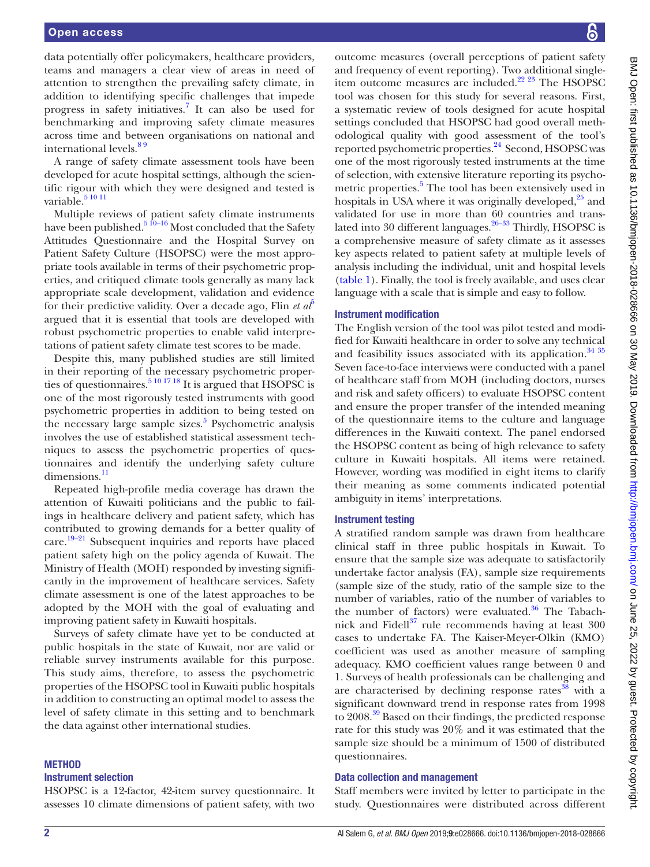data potentially offer policymakers, healthcare providers, teams and managers a clear view of areas in need of attention to strengthen the prevailing safety climate, in addition to identifying specific challenges that impede progress in safety initiatives.[7](#page-8-5) It can also be used for benchmarking and improving safety climate measures across time and between organisations on national and international levels. $89$ 

A range of safety climate assessment tools have been developed for acute hospital settings, although the scientific rigour with which they were designed and tested is variable.<sup>5 10 11</sup>

Multiple reviews of patient safety climate instruments have been published.<sup>5 10–16</sup> Most concluded that the Safety Attitudes Questionnaire and the Hospital Survey on Patient Safety Culture (HSOPSC) were the most appropriate tools available in terms of their psychometric properties, and critiqued climate tools generally as many lack appropriate scale development, validation and evidence for their predictive validity. Over a decade ago, Flin *et*  $a\ell$ *<sup>[5](#page-8-3)</sup>* argued that it is essential that tools are developed with robust psychometric properties to enable valid interpretations of patient safety climate test scores to be made.

Despite this, many published studies are still limited in their reporting of the necessary psychometric proper-ties of questionnaires.<sup>[5 10 17 18](#page-8-3)</sup> It is argued that HSOPSC is one of the most rigorously tested instruments with good psychometric properties in addition to being tested on the necessary large sample sizes.<sup>[5](#page-8-3)</sup> Psychometric analysis involves the use of established statistical assessment techniques to assess the psychometric properties of questionnaires and identify the underlying safety culture dimensions.<sup>[11](#page-8-7)</sup>

Repeated high-profile media coverage has drawn the attention of Kuwaiti politicians and the public to failings in healthcare delivery and patient safety, which has contributed to growing demands for a better quality of care.<sup>19-21</sup> Subsequent inquiries and reports have placed patient safety high on the policy agenda of Kuwait. The Ministry of Health (MOH) responded by investing significantly in the improvement of healthcare services. Safety climate assessment is one of the latest approaches to be adopted by the MOH with the goal of evaluating and improving patient safety in Kuwaiti hospitals.

Surveys of safety climate have yet to be conducted at public hospitals in the state of Kuwait, nor are valid or reliable survey instruments available for this purpose. This study aims, therefore, to assess the psychometric properties of the HSOPSC tool in Kuwaiti public hospitals in addition to constructing an optimal model to assess the level of safety climate in this setting and to benchmark the data against other international studies.

## **METHOD**

## Instrument selection

HSOPSC is a 12-factor, 42-item survey questionnaire. It assesses 10 climate dimensions of patient safety, with two

outcome measures (overall perceptions of patient safety and frequency of event reporting). Two additional singleitem outcome measures are included. $22\frac{23}{10}$  The HSOPSC tool was chosen for this study for several reasons. First, a systematic review of tools designed for acute hospital settings concluded that HSOPSC had good overall methodological quality with good assessment of the tool's reported psychometric properties.<sup>[24](#page-8-10)</sup> Second, HSOPSC was one of the most rigorously tested instruments at the time of selection, with extensive literature reporting its psycho-metric properties.<sup>[5](#page-8-3)</sup> The tool has been extensively used in hospitals in USA where it was originally developed,<sup>25</sup> and validated for use in more than 60 countries and translated into 30 different languages. $26-33$  Thirdly, HSOPSC is a comprehensive measure of safety climate as it assesses key aspects related to patient safety at multiple levels of analysis including the individual, unit and hospital levels [\(table](#page-2-0) 1). Finally, the tool is freely available, and uses clear language with a scale that is simple and easy to follow.

## Instrument modification

The English version of the tool was pilot tested and modified for Kuwaiti healthcare in order to solve any technical and feasibility issues associated with its application.<sup>34 35</sup> Seven face-to-face interviews were conducted with a panel of healthcare staff from MOH (including doctors, nurses and risk and safety officers) to evaluate HSOPSC content and ensure the proper transfer of the intended meaning of the questionnaire items to the culture and language differences in the Kuwaiti context. The panel endorsed the HSOPSC content as being of high relevance to safety culture in Kuwaiti hospitals. All items were retained. However, wording was modified in eight items to clarify their meaning as some comments indicated potential ambiguity in items' interpretations.

## Instrument testing

A stratified random sample was drawn from healthcare clinical staff in three public hospitals in Kuwait. To ensure that the sample size was adequate to satisfactorily undertake factor analysis (FA), sample size requirements (sample size of the study, ratio of the sample size to the number of variables, ratio of the number of variables to the number of factors) were evaluated.<sup>36</sup> The Tabachnick and Fidell $37$  rule recommends having at least 300 cases to undertake FA. The Kaiser-Meyer-Olkin (KMO) coefficient was used as another measure of sampling adequacy. KMO coefficient values range between 0 and 1. Surveys of health professionals can be challenging and are characterised by declining response rates<sup>[38](#page-9-4)</sup> with a significant downward trend in response rates from 1998 to 2008.<sup>39</sup> Based on their findings, the predicted response rate for this study was 20% and it was estimated that the sample size should be a minimum of 1500 of distributed questionnaires.

## Data collection and management

Staff members were invited by letter to participate in the study. Questionnaires were distributed across different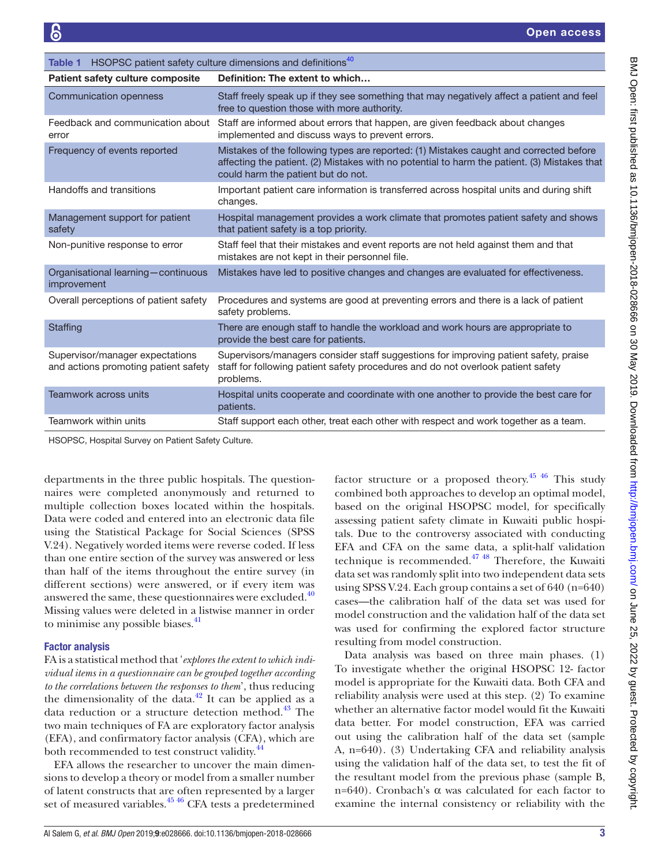<span id="page-2-0"></span>

| HSOPSC patient safety culture dimensions and definitions <sup>40</sup><br>Table 1 |                                                                                                                                                                                                                              |  |  |  |  |  |
|-----------------------------------------------------------------------------------|------------------------------------------------------------------------------------------------------------------------------------------------------------------------------------------------------------------------------|--|--|--|--|--|
| <b>Patient safety culture composite</b>                                           | Definition: The extent to which                                                                                                                                                                                              |  |  |  |  |  |
| Communication openness                                                            | Staff freely speak up if they see something that may negatively affect a patient and feel<br>free to question those with more authority.                                                                                     |  |  |  |  |  |
| Feedback and communication about<br>error                                         | Staff are informed about errors that happen, are given feedback about changes<br>implemented and discuss ways to prevent errors.                                                                                             |  |  |  |  |  |
| Frequency of events reported                                                      | Mistakes of the following types are reported: (1) Mistakes caught and corrected before<br>affecting the patient. (2) Mistakes with no potential to harm the patient. (3) Mistakes that<br>could harm the patient but do not. |  |  |  |  |  |
| Handoffs and transitions                                                          | Important patient care information is transferred across hospital units and during shift<br>changes.                                                                                                                         |  |  |  |  |  |
| Management support for patient<br>safety                                          | Hospital management provides a work climate that promotes patient safety and shows<br>that patient safety is a top priority.                                                                                                 |  |  |  |  |  |
| Non-punitive response to error                                                    | Staff feel that their mistakes and event reports are not held against them and that<br>mistakes are not kept in their personnel file.                                                                                        |  |  |  |  |  |
| Organisational learning-continuous<br>improvement                                 | Mistakes have led to positive changes and changes are evaluated for effectiveness.                                                                                                                                           |  |  |  |  |  |
| Overall perceptions of patient safety                                             | Procedures and systems are good at preventing errors and there is a lack of patient<br>safety problems.                                                                                                                      |  |  |  |  |  |
| Staffing                                                                          | There are enough staff to handle the workload and work hours are appropriate to<br>provide the best care for patients.                                                                                                       |  |  |  |  |  |
| Supervisor/manager expectations<br>and actions promoting patient safety           | Supervisors/managers consider staff suggestions for improving patient safety, praise<br>staff for following patient safety procedures and do not overlook patient safety<br>problems.                                        |  |  |  |  |  |
| Teamwork across units                                                             | Hospital units cooperate and coordinate with one another to provide the best care for<br>patients.                                                                                                                           |  |  |  |  |  |
| Teamwork within units                                                             | Staff support each other, treat each other with respect and work together as a team.                                                                                                                                         |  |  |  |  |  |

HSOPSC, Hospital Survey on Patient Safety Culture.

departments in the three public hospitals. The questionnaires were completed anonymously and returned to multiple collection boxes located within the hospitals. Data were coded and entered into an electronic data file using the Statistical Package for Social Sciences (SPSS V.24). Negatively worded items were reverse coded. If less than one entire section of the survey was answered or less than half of the items throughout the entire survey (in different sections) were answered, or if every item was answered the same, these questionnaires were excluded. $40$ Missing values were deleted in a listwise manner in order to minimise any possible biases.<sup>[41](#page-9-7)</sup>

## Factor analysis

FA is a statistical method that '*explores the extent to which individual items in a questionnaire can be grouped together according to the correlations between the responses to them*', thus reducing the dimensionality of the data. $^{42}$  It can be applied as a data reduction or a structure detection method. $^{43}$  $^{43}$  $^{43}$  The two main techniques of FA are exploratory factor analysis (EFA), and confirmatory factor analysis (CFA), which are both recommended to test construct validity.<sup>[44](#page-9-10)</sup>

EFA allows the researcher to uncover the main dimensions to develop a theory or model from a smaller number of latent constructs that are often represented by a larger set of measured variables.<sup>45 46</sup> CFA tests a predetermined

factor structure or a proposed theory.<sup>[45 46](#page-9-11)</sup> This study combined both approaches to develop an optimal model, based on the original HSOPSC model, for specifically assessing patient safety climate in Kuwaiti public hospitals. Due to the controversy associated with conducting EFA and CFA on the same data, a split-half validation technique is recommended. $47 \frac{48}{18}$  Therefore, the Kuwaiti data set was randomly split into two independent data sets using SPSS V.24. Each group contains a set of 640 (n=640) cases—the calibration half of the data set was used for model construction and the validation half of the data set was used for confirming the explored factor structure resulting from model construction.

Data analysis was based on three main phases. (1) To investigate whether the original HSOPSC 12- factor model is appropriate for the Kuwaiti data. Both CFA and reliability analysis were used at this step. (2) To examine whether an alternative factor model would fit the Kuwaiti data better. For model construction, EFA was carried out using the calibration half of the data set (sample A, n=640). (3) Undertaking CFA and reliability analysis using the validation half of the data set, to test the fit of the resultant model from the previous phase (sample B, n=640). Cronbach's α was calculated for each factor to examine the internal consistency or reliability with the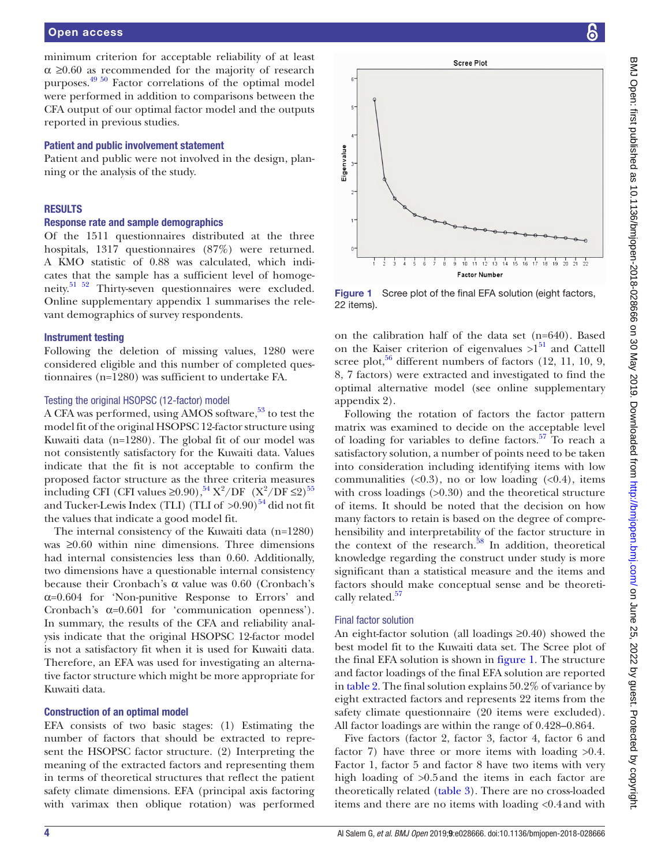minimum criterion for acceptable reliability of at least  $\alpha \geq 0.60$  as recommended for the majority of research purposes.<sup>49 50</sup> Factor correlations of the optimal model were performed in addition to comparisons between the CFA output of our optimal factor model and the outputs reported in previous studies.

#### Patient and public involvement statement

Patient and public were not involved in the design, planning or the analysis of the study.

#### **RESULTS**

#### Response rate and sample demographics

Of the 1511 questionnaires distributed at the three hospitals, 1317 questionnaires (87%) were returned. A KMO statistic of 0.88 was calculated, which indicates that the sample has a sufficient level of homogeneity.<sup>51 52</sup> Thirty-seven questionnaires were excluded. Online [supplementary appendix 1](https://dx.doi.org/10.1136/bmjopen-2018-028666) summarises the relevant demographics of survey respondents.

#### Instrument testing

Following the deletion of missing values, 1280 were considered eligible and this number of completed questionnaires (n=1280) was sufficient to undertake FA.

#### Testing the original HSOPSC (12-factor) model

A CFA was performed, using AMOS software,<sup>53</sup> to test the model fit of the original HSOPSC 12-factor structure using Kuwaiti data (n=1280). The global fit of our model was not consistently satisfactory for the Kuwaiti data. Values indicate that the fit is not acceptable to confirm the proposed factor structure as the three criteria measures including CFI (CFI values  $\geq 0.90$ ),  $^{54}$  X<sup>2</sup>/DF (X<sup>2</sup>/DF  $\leq$ 2)<sup>55</sup> and Tucker-Lewis Index (TLI) (TLI of  $>0.90$ )<sup>54</sup> did not fit the values that indicate a good model fit.

The internal consistency of the Kuwaiti data (n=1280) was ≥0.60 within nine dimensions. Three dimensions had internal consistencies less than 0.60. Additionally, two dimensions have a questionable internal consistency because their Cronbach's α value was 0.60 (Cronbach's  $\alpha$ =0.604 for 'Non-punitive Response to Errors' and Cronbach's  $\alpha=0.601$  for 'communication openness'). In summary, the results of the CFA and reliability analysis indicate that the original HSOPSC 12-factor model is not a satisfactory fit when it is used for Kuwaiti data. Therefore, an EFA was used for investigating an alternative factor structure which might be more appropriate for Kuwaiti data.

## Construction of an optimal model

EFA consists of two basic stages: (1) Estimating the number of factors that should be extracted to represent the HSOPSC factor structure. (2) Interpreting the meaning of the extracted factors and representing them in terms of theoretical structures that reflect the patient safety climate dimensions. EFA (principal axis factoring with varimax then oblique rotation) was performed



<span id="page-3-0"></span>Figure 1 Scree plot of the final EFA solution (eight factors, 22 items).

on the calibration half of the data set (n=640). Based on the Kaiser criterion of eigenvalues  $>1^{51}$  and Cattell scree plot, $56$  different numbers of factors (12, 11, 10, 9, 8, 7 factors) were extracted and investigated to find the optimal alternative model (see online [supplementary](https://dx.doi.org/10.1136/bmjopen-2018-028666)  [appendix 2\)](https://dx.doi.org/10.1136/bmjopen-2018-028666).

Following the rotation of factors the factor pattern matrix was examined to decide on the acceptable level of loading for variables to define factors.<sup>57</sup> To reach a satisfactory solution, a number of points need to be taken into consideration including identifying items with low communalities  $( $0.3$ ), no or low loading ( $0.4$ ), items$ with cross loadings  $(>0.30)$  and the theoretical structure of items. It should be noted that the decision on how many factors to retain is based on the degree of comprehensibility and interpretability of the factor structure in the context of the research. $58$  In addition, theoretical knowledge regarding the construct under study is more significant than a statistical measure and the items and factors should make conceptual sense and be theoreti-cally related.<sup>[57](#page-9-19)</sup>

#### Final factor solution

An eight-factor solution (all loadings ≥0.40) showed the best model fit to the Kuwaiti data set. The Scree plot of the final EFA solution is shown in [figure](#page-3-0) 1. The structure and factor loadings of the final EFA solution are reported in [table](#page-4-0) 2. The final solution explains 50.2% of variance by eight extracted factors and represents 22 items from the safety climate questionnaire (20 items were excluded). All factor loadings are within the range of 0.428–0.864.

Five factors (factor 2, factor 3, factor 4, factor 6 and factor 7) have three or more items with loading  $>0.4$ . Factor 1, factor 5 and factor 8 have two items with very high loading of  $>0.5$  and the items in each factor are theoretically related ([table](#page-5-0) 3). There are no cross-loaded items and there are no items with loading <0.4and with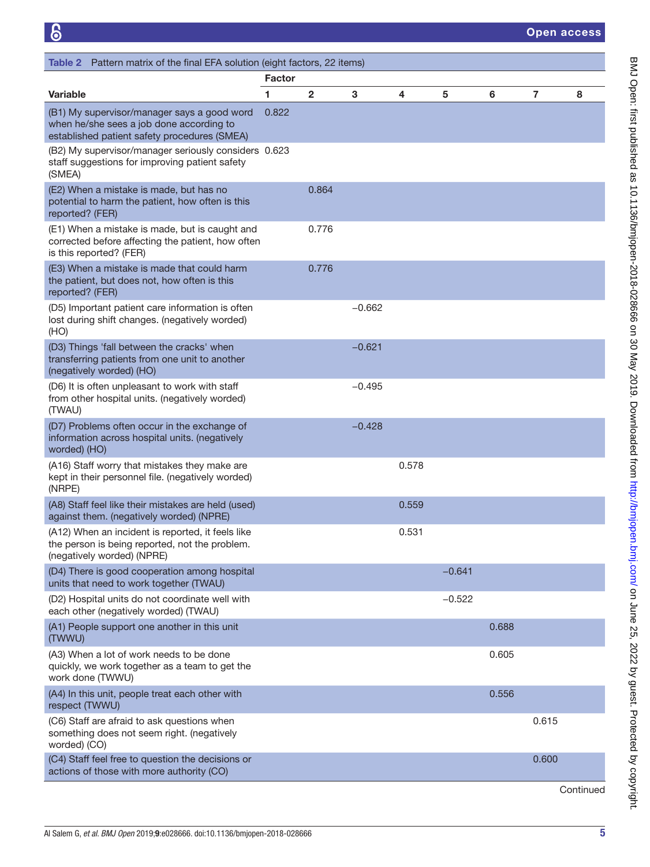<span id="page-4-0"></span>

| Table 2 Pattern matrix of the final EFA solution (eight factors, 22 items)                                                              |               |              |          |       |          |       |                |   |
|-----------------------------------------------------------------------------------------------------------------------------------------|---------------|--------------|----------|-------|----------|-------|----------------|---|
|                                                                                                                                         | <b>Factor</b> |              |          |       |          |       |                |   |
| <b>Variable</b>                                                                                                                         | 1             | $\mathbf{2}$ | 3        | 4     | 5        | 6     | $\overline{7}$ | 8 |
| (B1) My supervisor/manager says a good word<br>when he/she sees a job done according to<br>established patient safety procedures (SMEA) | 0.822         |              |          |       |          |       |                |   |
| (B2) My supervisor/manager seriously considers 0.623<br>staff suggestions for improving patient safety<br>(SMEA)                        |               |              |          |       |          |       |                |   |
| (E2) When a mistake is made, but has no<br>potential to harm the patient, how often is this<br>reported? (FER)                          |               | 0.864        |          |       |          |       |                |   |
| (E1) When a mistake is made, but is caught and<br>corrected before affecting the patient, how often<br>is this reported? (FER)          |               | 0.776        |          |       |          |       |                |   |
| (E3) When a mistake is made that could harm<br>the patient, but does not, how often is this<br>reported? (FER)                          |               | 0.776        |          |       |          |       |                |   |
| (D5) Important patient care information is often<br>lost during shift changes. (negatively worded)<br>(HO)                              |               |              | $-0.662$ |       |          |       |                |   |
| (D3) Things 'fall between the cracks' when<br>transferring patients from one unit to another<br>(negatively worded) (HO)                |               |              | $-0.621$ |       |          |       |                |   |
| (D6) It is often unpleasant to work with staff<br>from other hospital units. (negatively worded)<br>(TWAU)                              |               |              | $-0.495$ |       |          |       |                |   |
| (D7) Problems often occur in the exchange of<br>information across hospital units. (negatively<br>worded) (HO)                          |               |              | $-0.428$ |       |          |       |                |   |
| (A16) Staff worry that mistakes they make are<br>kept in their personnel file. (negatively worded)<br>(NRPE)                            |               |              |          | 0.578 |          |       |                |   |
| (A8) Staff feel like their mistakes are held (used)<br>against them. (negatively worded) (NPRE)                                         |               |              |          | 0.559 |          |       |                |   |
| (A12) When an incident is reported, it feels like<br>the person is being reported, not the problem.<br>(negatively worded) (NPRE)       |               |              |          | 0.531 |          |       |                |   |
| (D4) There is good cooperation among hospital<br>units that need to work together (TWAU)                                                |               |              |          |       | $-0.641$ |       |                |   |
| (D2) Hospital units do not coordinate well with<br>each other (negatively worded) (TWAU)                                                |               |              |          |       | $-0.522$ |       |                |   |
| (A1) People support one another in this unit<br>(TWWU)                                                                                  |               |              |          |       |          | 0.688 |                |   |
| (A3) When a lot of work needs to be done<br>quickly, we work together as a team to get the<br>work done (TWWU)                          |               |              |          |       |          | 0.605 |                |   |
| (A4) In this unit, people treat each other with<br>respect (TWWU)                                                                       |               |              |          |       |          | 0.556 |                |   |
| (C6) Staff are afraid to ask questions when<br>something does not seem right. (negatively<br>worded) (CO)                               |               |              |          |       |          |       | 0.615          |   |
| (C4) Staff feel free to question the decisions or<br>actions of those with more authority (CO)                                          |               |              |          |       |          |       | 0.600          |   |

Continued

BMJ Open: first published as 10.1136/bmjopen-2018-028666 on 30 May 2019. Downloaded from <http://bmjopen.bmj.com/> on June 25, 2022 by guest. Protected by copyright.

BMJ Open: first published as 10.11136/bmjopen-2018-028666 on 30 May 2019. Downloaded from http://bmjopen.bmj.com/ on June 25, 2022 by guest. Protected by copyright.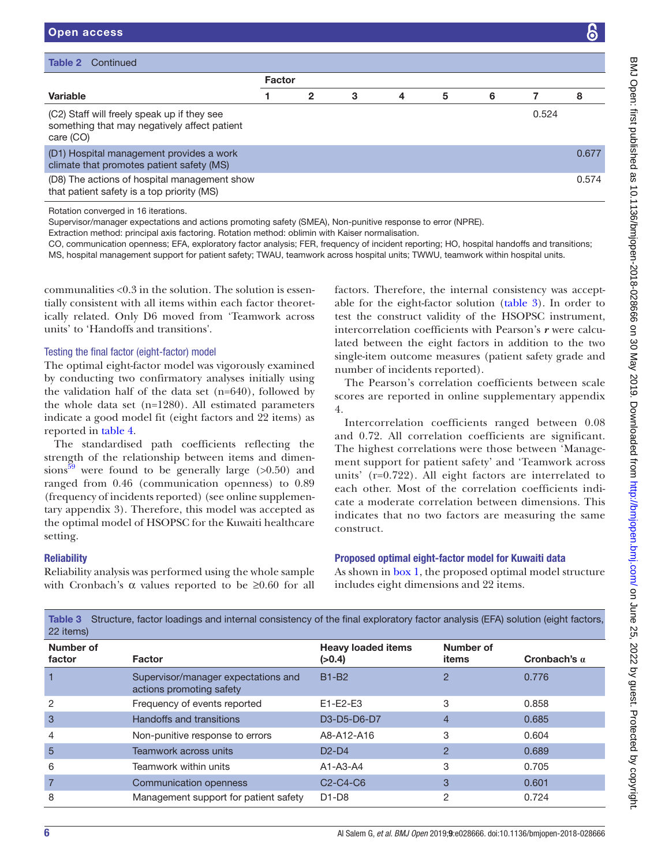| <b>Table 2</b> Continued                                                                                 |               |   |   |   |   |   |       |       |
|----------------------------------------------------------------------------------------------------------|---------------|---|---|---|---|---|-------|-------|
|                                                                                                          | <b>Factor</b> |   |   |   |   |   |       |       |
| <b>Variable</b>                                                                                          |               | 2 | 3 | 4 | 5 | 6 |       | 8     |
| (C2) Staff will freely speak up if they see<br>something that may negatively affect patient<br>care (CO) |               |   |   |   |   |   | 0.524 |       |
| (D1) Hospital management provides a work<br>climate that promotes patient safety (MS)                    |               |   |   |   |   |   |       | 0.677 |
| (D8) The actions of hospital management show<br>that patient safety is a top priority (MS)               |               |   |   |   |   |   |       | 0.574 |
| .                                                                                                        |               |   |   |   |   |   |       |       |

Rotation converged in 16 iterations.

Open access

Supervisor/manager expectations and actions promoting safety (SMEA), Non-punitive response to error (NPRE).

Extraction method: principal axis factoring. Rotation method: oblimin with Kaiser normalisation.

CO, communication openness; EFA, exploratory factor analysis; FER, frequency of incident reporting; HO, hospital handoffs and transitions; MS, hospital management support for patient safety; TWAU, teamwork across hospital units; TWWU, teamwork within hospital units.

communalities <0.3 in the solution. The solution is essentially consistent with all items within each factor theoretically related. Only D6 moved from 'Teamwork across units' to 'Handoffs and transitions'.

#### Testing the final factor (eight-factor) model

The optimal eight-factor model was vigorously examined by conducting two confirmatory analyses initially using the validation half of the data set  $(n=640)$ , followed by the whole data set (n=1280). All estimated parameters indicate a good model fit (eight factors and 22 items) as reported in [table](#page-6-0) 4.

The standardised path coefficients reflecting the strength of the relationship between items and dimensions<sup>39</sup> were found to be generally large  $(>0.50)$  and ranged from 0.46 (communication openness) to 0.89 (frequency of incidents reported) (see online [supplemen](https://dx.doi.org/10.1136/bmjopen-2018-028666)[tary appendix 3\)](https://dx.doi.org/10.1136/bmjopen-2018-028666). Therefore, this model was accepted as the optimal model of HSOPSC for the Kuwaiti healthcare setting.

#### **Reliability**

Reliability analysis was performed using the whole sample with Cronbach's  $\alpha$  values reported to be  $\geq 0.60$  for all

factors. Therefore, the internal consistency was acceptable for the eight-factor solution [\(table](#page-5-0) 3). In order to test the construct validity of the HSOPSC instrument, intercorrelation coefficients with Pearson's *r* were calculated between the eight factors in addition to the two single-item outcome measures (patient safety grade and number of incidents reported).

The Pearson's correlation coefficients between scale scores are reported in online [supplementary appendix](https://dx.doi.org/10.1136/bmjopen-2018-028666)  [4](https://dx.doi.org/10.1136/bmjopen-2018-028666).

Intercorrelation coefficients ranged between 0.08 and 0.72. All correlation coefficients are significant. The highest correlations were those between 'Management support for patient safety' and 'Teamwork across units' (r=0.722). All eight factors are interrelated to each other. Most of the correlation coefficients indicate a moderate correlation between dimensions. This indicates that no two factors are measuring the same construct.

## Proposed optimal eight-factor model for Kuwaiti data

As shown in [box](#page-7-0) 1, the proposed optimal model structure includes eight dimensions and 22 items.

| Table of Outdotate, Tablor Toddings and internationistichly of the mial exploratory factor analysis (LF7) solution (eight factors,<br>22 items) |                                                |                    |                     |  |  |  |  |  |
|-------------------------------------------------------------------------------------------------------------------------------------------------|------------------------------------------------|--------------------|---------------------|--|--|--|--|--|
| Factor                                                                                                                                          | <b>Heavy loaded items</b><br>(>0.4)            | Number of<br>items | Cronbach's $\alpha$ |  |  |  |  |  |
| Supervisor/manager expectations and<br>actions promoting safety                                                                                 | <b>B1-B2</b>                                   | 2                  | 0.776               |  |  |  |  |  |
| Frequency of events reported                                                                                                                    | $E1-E2-E3$                                     | 3                  | 0.858               |  |  |  |  |  |
| Handoffs and transitions                                                                                                                        | D3-D5-D6-D7                                    | $\overline{4}$     | 0.685               |  |  |  |  |  |
| Non-punitive response to errors                                                                                                                 | A8-A12-A16                                     | 3                  | 0.604               |  |  |  |  |  |
| Teamwork across units                                                                                                                           | $D2-D4$                                        | $\overline{2}$     | 0.689               |  |  |  |  |  |
| Teamwork within units                                                                                                                           | $A1-A3-A4$                                     | 3                  | 0.705               |  |  |  |  |  |
| Communication openness                                                                                                                          | C <sub>2</sub> -C <sub>4</sub> -C <sub>6</sub> | 3                  | 0.601               |  |  |  |  |  |
| Management support for patient safety                                                                                                           | $D1-D8$                                        | 2                  | 0.724               |  |  |  |  |  |
|                                                                                                                                                 |                                                |                    |                     |  |  |  |  |  |

<span id="page-5-0"></span>Table 3 Structure, factor loadings and internal consistency of the final exploratory factor analysis (EFA) solution (eight factors,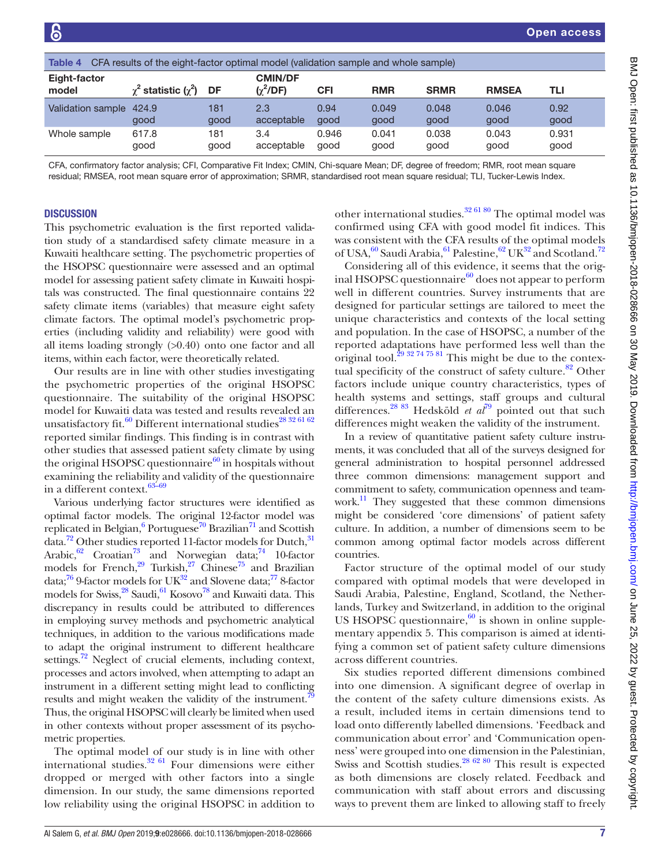<span id="page-6-0"></span>

| CFA results of the eight-factor optimal model (validation sample and whole sample)<br>Table 4 |                               |      |                                  |       |            |             |              |       |
|-----------------------------------------------------------------------------------------------|-------------------------------|------|----------------------------------|-------|------------|-------------|--------------|-------|
| Eight-factor<br>model                                                                         | $\chi^2$ statistic $(\chi^2)$ | DF   | <b>CMIN/DF</b><br>$(\chi^2$ /DF) | CFI   | <b>RMR</b> | <b>SRMR</b> | <b>RMSEA</b> | TLI   |
| Validation sample                                                                             | 424.9                         | 181  | 2.3                              | 0.94  | 0.049      | 0.048       | 0.046        | 0.92  |
|                                                                                               | good                          | good | acceptable                       | good  | good       | good        | good         | good  |
| Whole sample                                                                                  | 617.8                         | 181  | 3.4                              | 0.946 | 0.041      | 0.038       | 0.043        | 0.931 |
|                                                                                               | good                          | good | acceptable                       | good  | good       | good        | good         | good  |

CFA, confirmatory factor analysis; CFI, Comparative Fit Index; CMIN, Chi-square Mean; DF, degree of freedom; RMR, root mean square residual; RMSEA, root mean square error of approximation; SRMR, standardised root mean square residual; TLI, Tucker-Lewis Index.

## **DISCUSSION**

This psychometric evaluation is the first reported validation study of a standardised safety climate measure in a Kuwaiti healthcare setting. The psychometric properties of the HSOPSC questionnaire were assessed and an optimal model for assessing patient safety climate in Kuwaiti hospitals was constructed. The final questionnaire contains 22 safety climate items (variables) that measure eight safety climate factors. The optimal model's psychometric properties (including validity and reliability) were good with all items loading strongly (>0.40) onto one factor and all items, within each factor, were theoretically related.

Our results are in line with other studies investigating the psychometric properties of the original HSOPSC questionnaire. The suitability of the original HSOPSC model for Kuwaiti data was tested and results revealed an unsatisfactory fit.<sup>[60](#page-9-22)</sup> Different international studies<sup>[28 32 61 62](#page-9-23)</sup> reported similar findings. This finding is in contrast with other studies that assessed patient safety climate by using the original HSOPSC questionnaire $^{60}$  in hospitals without examining the reliability and validity of the questionnaire in a different context.<sup>63-69</sup>

Various underlying factor structures were identified as optimal factor models. The original 12-factor model was replicated in Belgian,<sup>[6](#page-8-4)</sup> Portuguese<sup>70</sup> Brazilian<sup>71</sup> and Scottish data.<sup>[72](#page-9-27)</sup> Other studies reported 11-factor models for Dutch,<sup>[31](#page-9-28)</sup> Arabic, $62$  Croatian<sup>[73](#page-9-30)</sup> and Norwegian data;<sup>74</sup> 10-factor models for French, $29$  Turkish, $27$  Chinese<sup>75</sup> and Brazilian data; $^{76}$  $^{76}$  $^{76}$  9-factor models for UK<sup>32</sup> and Slovene data; $^{77}$  $^{77}$  $^{77}$  8-factor models for Swiss,<sup>28</sup> Saudi,<sup>61</sup> Kosovo<sup>[78](#page-9-39)</sup> and Kuwaiti data. This discrepancy in results could be attributed to differences in employing survey methods and psychometric analytical techniques, in addition to the various modifications made to adapt the original instrument to different healthcare settings.<sup>72</sup> Neglect of crucial elements, including context, processes and actors involved, when attempting to adapt an instrument in a different setting might lead to conflicting results and might weaken the validity of the instrument.<sup>7</sup> Thus, the original HSOPSC will clearly be limited when used in other contexts without proper assessment of its psychometric properties.

The optimal model of our study is in line with other international studies. $32/61$  Four dimensions were either dropped or merged with other factors into a single dimension. In our study, the same dimensions reported low reliability using the original HSOPSC in addition to

other international studies.[32 61 80](#page-9-36) The optimal model was confirmed using CFA with good model fit indices. This was consistent with the CFA results of the optimal models of USA,  $60$  Saudi Arabia,  $61$  Palestine,  $62$  UK $32$  and Scotland.<sup>[72](#page-9-27)</sup>

Considering all of this evidence, it seems that the original HSOPSC questionnaire $^{60}$  does not appear to perform well in different countries. Survey instruments that are designed for particular settings are tailored to meet the unique characteristics and contexts of the local setting and population. In the case of HSOPSC, a number of the reported adaptations have performed less well than the original tool.<sup>[29 32 74 75 81](#page-9-32)</sup> This might be due to the contextual specificity of the construct of safety culture.<sup>82</sup> Other factors include unique country characteristics, types of health systems and settings, staff groups and cultural differences.<sup>[28 83](#page-9-23)</sup> Hedsköld *et al*<sup>79</sup> pointed out that such differences might weaken the validity of the instrument.

In a review of quantitative patient safety culture instruments, it was concluded that all of the surveys designed for general administration to hospital personnel addressed three common dimensions: management support and commitment to safety, communication openness and team-work.<sup>[11](#page-8-7)</sup> They suggested that these common dimensions might be considered 'core dimensions' of patient safety culture. In addition, a number of dimensions seem to be common among optimal factor models across different countries.

Factor structure of the optimal model of our study compared with optimal models that were developed in Saudi Arabia, Palestine, England, Scotland, the Netherlands, Turkey and Switzerland, in addition to the original US HSOPSC questionnaire,  $60$  is shown in online [supple](https://dx.doi.org/10.1136/bmjopen-2018-028666)[mentary appendix 5](https://dx.doi.org/10.1136/bmjopen-2018-028666). This comparison is aimed at identifying a common set of patient safety culture dimensions across different countries.

Six studies reported different dimensions combined into one dimension. A significant degree of overlap in the content of the safety culture dimensions exists. As a result, included items in certain dimensions tend to load onto differently labelled dimensions. 'Feedback and communication about error' and 'Communication openness' were grouped into one dimension in the Palestinian, Swiss and Scottish studies.<sup>28 62 80</sup> This result is expected as both dimensions are closely related. Feedback and communication with staff about errors and discussing ways to prevent them are linked to allowing staff to freely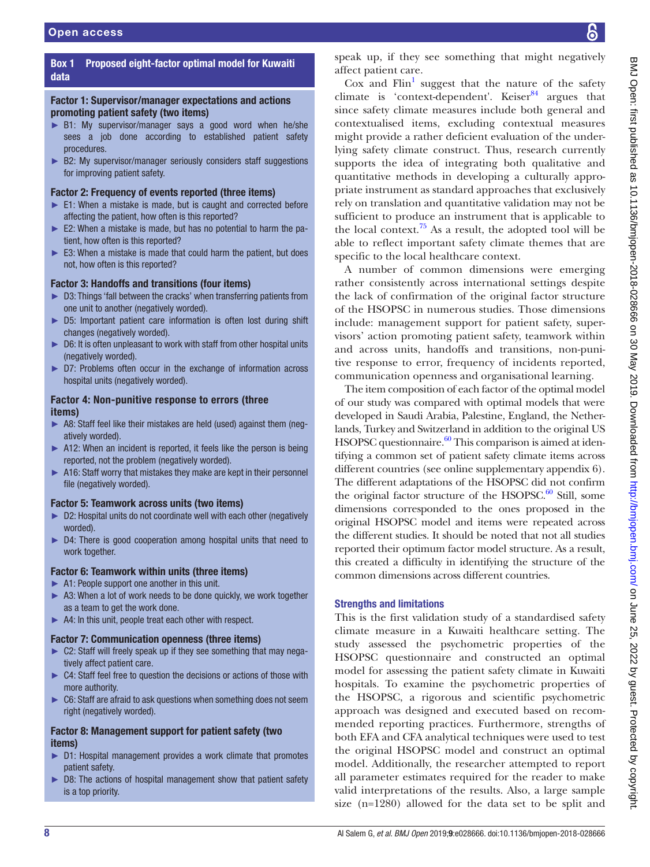## Box 1 Proposed eight-factor optimal model for Kuwaiti data

## <span id="page-7-0"></span>Factor 1: Supervisor/manager expectations and actions promoting patient safety (two items)

- ► B1: My supervisor/manager says a good word when he/she sees a job done according to established patient safety procedures.
- ► B2: My supervisor/manager seriously considers staff suggestions for improving patient safety.

## Factor 2: Frequency of events reported (three items)

- ► E1: When a mistake is made, but is caught and corrected before affecting the patient, how often is this reported?
- ► E2: When a mistake is made, but has no potential to harm the patient, how often is this reported?
- ► E3: When a mistake is made that could harm the patient, but does not, how often is this reported?

## Factor 3: Handoffs and transitions (four items)

- ► D3: Things 'fall between the cracks' when transferring patients from one unit to another (negatively worded).
- ► D5: Important patient care information is often lost during shift changes (negatively worded).
- ► D6: It is often unpleasant to work with staff from other hospital units (negatively worded).
- ► D7: Problems often occur in the exchange of information across hospital units (negatively worded).

## Factor 4: Non-punitive response to errors (three items)

- ► A8: Staff feel like their mistakes are held (used) against them (negatively worded).
- ► A12: When an incident is reported, it feels like the person is being reported, not the problem (negatively worded).
- ► A16: Staff worry that mistakes they make are kept in their personnel file (negatively worded).

## Factor 5: Teamwork across units (two items)

- ► D2: Hospital units do not coordinate well with each other (negatively worded).
- ► D4: There is good cooperation among hospital units that need to work together.

## Factor 6: Teamwork within units (three items)

- ► A1: People support one another in this unit.
- ► A3: When a lot of work needs to be done quickly, we work together as a team to get the work done.
- ► A4: In this unit, people treat each other with respect.

## Factor 7: Communication openness (three items)

- ► C2: Staff will freely speak up if they see something that may negatively affect patient care.
- ► C4: Staff feel free to question the decisions or actions of those with more authority.
- ► C6: Staff are afraid to ask questions when something does not seem right (negatively worded).

## Factor 8: Management support for patient safety (two items)

- ► D1: Hospital management provides a work climate that promotes patient safety.
- D8: The actions of hospital management show that patient safety is a top priority.

speak up, if they see something that might negatively affect patient care.

Cox and  $\text{Fin}^1$  suggest that the nature of the safety climate is 'context-dependent'. Keiser $84$  argues that since safety climate measures include both general and contextualised items, excluding contextual measures might provide a rather deficient evaluation of the underlying safety climate construct. Thus, research currently supports the idea of integrating both qualitative and quantitative methods in developing a culturally appropriate instrument as standard approaches that exclusively rely on translation and quantitative validation may not be sufficient to produce an instrument that is applicable to the local context.<sup>75</sup> As a result, the adopted tool will be able to reflect important safety climate themes that are specific to the local healthcare context.

A number of common dimensions were emerging rather consistently across international settings despite the lack of confirmation of the original factor structure of the HSOPSC in numerous studies. Those dimensions include: management support for patient safety, supervisors' action promoting patient safety, teamwork within and across units, handoffs and transitions, non-punitive response to error, frequency of incidents reported, communication openness and organisational learning.

The item composition of each factor of the optimal model of our study was compared with optimal models that were developed in Saudi Arabia, Palestine, England, the Netherlands, Turkey and Switzerland in addition to the original US HSOPSC questionnaire. $60$  This comparison is aimed at identifying a common set of patient safety climate items across different countries (see online [supplementary appendix 6](https://dx.doi.org/10.1136/bmjopen-2018-028666)). The different adaptations of the HSOPSC did not confirm the original factor structure of the HSOPSC. $^{60}$  Still, some dimensions corresponded to the ones proposed in the original HSOPSC model and items were repeated across the different studies. It should be noted that not all studies reported their optimum factor model structure. As a result, this created a difficulty in identifying the structure of the common dimensions across different countries.

## Strengths and limitations

This is the first validation study of a standardised safety climate measure in a Kuwaiti healthcare setting. The study assessed the psychometric properties of the HSOPSC questionnaire and constructed an optimal model for assessing the patient safety climate in Kuwaiti hospitals. To examine the psychometric properties of the HSOPSC, a rigorous and scientific psychometric approach was designed and executed based on recommended reporting practices. Furthermore, strengths of both EFA and CFA analytical techniques were used to test the original HSOPSC model and construct an optimal model. Additionally, the researcher attempted to report all parameter estimates required for the reader to make valid interpretations of the results. Also, a large sample size (n=1280) allowed for the data set to be split and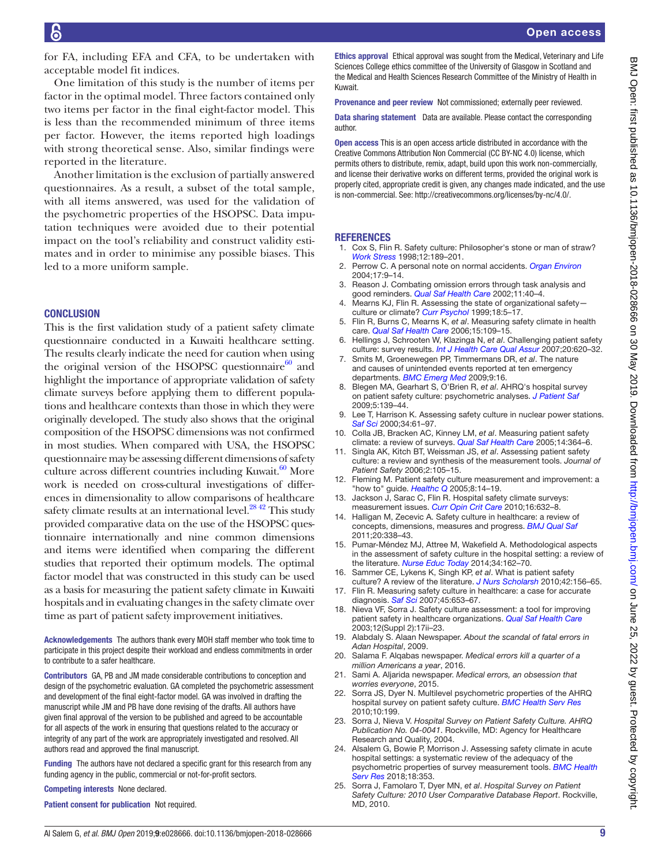for FA, including EFA and CFA, to be undertaken with acceptable model fit indices.

One limitation of this study is the number of items per factor in the optimal model. Three factors contained only two items per factor in the final eight-factor model. This is less than the recommended minimum of three items per factor. However, the items reported high loadings with strong theoretical sense. Also, similar findings were reported in the literature.

Another limitation is the exclusion of partially answered questionnaires. As a result, a subset of the total sample, with all items answered, was used for the validation of the psychometric properties of the HSOPSC. Data imputation techniques were avoided due to their potential impact on the tool's reliability and construct validity estimates and in order to minimise any possible biases. This led to a more uniform sample.

## **CONCLUSION**

This is the first validation study of a patient safety climate questionnaire conducted in a Kuwaiti healthcare setting. The results clearly indicate the need for caution when using the original version of the HSOPSC questionnaire $60$  and highlight the importance of appropriate validation of safety climate surveys before applying them to different populations and healthcare contexts than those in which they were originally developed. The study also shows that the original composition of the HSOPSC dimensions was not confirmed in most studies. When compared with USA, the HSOPSC questionnaire may be assessing different dimensions of safety culture across different countries including Kuwait. $60$  More work is needed on cross-cultural investigations of differences in dimensionality to allow comparisons of healthcare safety climate results at an international level.<sup>[28 42](#page-9-23)</sup> This study provided comparative data on the use of the HSOPSC questionnaire internationally and nine common dimensions and items were identified when comparing the different studies that reported their optimum models. The optimal factor model that was constructed in this study can be used as a basis for measuring the patient safety climate in Kuwaiti hospitals and in evaluating changes in the safety climate over time as part of patient safety improvement initiatives.

Acknowledgements The authors thank every MOH staff member who took time to participate in this project despite their workload and endless commitments in order to contribute to a safer healthcare.

Contributors GA, PB and JM made considerable contributions to conception and design of the psychometric evaluation. GA completed the psychometric assessment and development of the final eight-factor model. GA was involved in drafting the manuscript while JM and PB have done revising of the drafts. All authors have given final approval of the version to be published and agreed to be accountable for all aspects of the work in ensuring that questions related to the accuracy or integrity of any part of the work are appropriately investigated and resolved. All authors read and approved the final manuscript.

Funding The authors have not declared a specific grant for this research from any funding agency in the public, commercial or not-for-profit sectors.

Competing interests None declared.

Patient consent for publication Not required.

Ethics approval Ethical approval was sought from the Medical, Veterinary and Life Sciences College ethics committee of the University of Glasgow in Scotland and the Medical and Health Sciences Research Committee of the Ministry of Health in Kuwait.

Provenance and peer review Not commissioned; externally peer reviewed.

Data sharing statement Data are available. Please contact the corresponding author.

Open access This is an open access article distributed in accordance with the Creative Commons Attribution Non Commercial (CC BY-NC 4.0) license, which permits others to distribute, remix, adapt, build upon this work non-commercially, and license their derivative works on different terms, provided the original work is properly cited, appropriate credit is given, any changes made indicated, and the use is non-commercial. See: [http://creativecommons.org/licenses/by-nc/4.0/.](http://creativecommons.org/licenses/by-nc/4.0/)

## **REFERENCES**

- <span id="page-8-0"></span>1. Cox S, Flin R. Safety culture: Philosopher's stone or man of straw? *[Work Stress](http://dx.doi.org/10.1080/02678379808256861)* 1998;12:189–201.
- <span id="page-8-1"></span>2. Perrow C. A personal note on normal accidents. *[Organ Environ](http://dx.doi.org/10.1177/1086026603262028)* 2004;17:9–14.
- 3. Reason J. Combating omission errors through task analysis and good reminders. *[Qual Saf Health Care](http://dx.doi.org/10.1136/qhc.11.1.40)* 2002;11:40–4.
- <span id="page-8-2"></span>4. Mearns KJ, Flin R. Assessing the state of organizational safety culture or climate? *[Curr Psychol](http://dx.doi.org/10.1007/s12144-999-1013-3)* 1999;18:5–17.
- <span id="page-8-3"></span>5. Flin R, Burns C, Mearns K, *et al*. Measuring safety climate in health care. *[Qual Saf Health Care](http://dx.doi.org/10.1136/qshc.2005.014761)* 2006;15:109–15.
- <span id="page-8-4"></span>6. Hellings J, Schrooten W, Klazinga N, *et al*. Challenging patient safety culture: survey results. *[Int J Health Care Qual Assur](http://dx.doi.org/10.1108/09526860710822752)* 2007;20:620–32.
- <span id="page-8-5"></span>7. Smits M, Groenewegen PP, Timmermans DR, *et al*. The nature and causes of unintended events reported at ten emergency departments. *[BMC Emerg Med](http://dx.doi.org/10.1186/1471-227X-9-16)* 2009;9:16.
- <span id="page-8-6"></span>8. Blegen MA, Gearhart S, O'Brien R, *et al*. AHRQ's hospital survey on patient safety culture: psychometric analyses. *[J Patient Saf](http://dx.doi.org/10.1097/PTS.0b013e3181b53f6e)* 2009;5:139–44.
- 9. Lee T, Harrison K. Assessing safety culture in nuclear power stations. *[Saf Sci](http://dx.doi.org/10.1016/S0925-7535(00)00007-2)* 2000;34:61–97.
- 10. Colla JB, Bracken AC, Kinney LM, *et al*. Measuring patient safety climate: a review of surveys. *[Qual Saf Health Care](http://dx.doi.org/10.1136/qshc.2005.014217)* 2005;14:364–6.
- <span id="page-8-7"></span>11. Singla AK, Kitch BT, Weissman JS, *et al*. Assessing patient safety culture: a review and synthesis of the measurement tools. *Journal of Patient Safety* 2006;2:105–15.
- 12. Fleming M. Patient safety culture measurement and improvement: a "how to" guide. *[Healthc Q](http://dx.doi.org/10.12927/hcq.2005.17656)* 2005;8:14–19.
- 13. Jackson J, Sarac C, Flin R. Hospital safety climate surveys: measurement issues. *[Curr Opin Crit Care](http://dx.doi.org/10.1097/MCC.0b013e32833f0ee6)* 2010;16:632–8.
- 14. Halligan M, Zecevic A. Safety culture in healthcare: a review of concepts, dimensions, measures and progress. *[BMJ Qual Saf](http://dx.doi.org/10.1136/bmjqs.2010.040964)* 2011;20:338–43.
- 15. Pumar-Méndez MJ, Attree M, Wakefield A. Methodological aspects in the assessment of safety culture in the hospital setting: a review of the literature. *[Nurse Educ Today](http://dx.doi.org/10.1016/j.nedt.2013.08.008)* 2014;34:162–70.
- 16. Sammer CE, Lykens K, Singh KP, *et al*. What is patient safety culture? A review of the literature. *[J Nurs Scholarsh](http://dx.doi.org/10.1111/j.1547-5069.2009.01330.x)* 2010;42:156–65.
- 17. Flin R. Measuring safety culture in healthcare: a case for accurate diagnosis. *[Saf Sci](http://dx.doi.org/10.1016/j.ssci.2007.04.003)* 2007;45:653–67.
- 18. Nieva VF, Sorra J. Safety culture assessment: a tool for improving patient safety in healthcare organizations. *[Qual Saf Health Care](http://dx.doi.org/10.1136/qhc.12.suppl_2.ii17)* 2003;12(Suppl 2):17ii–23.
- <span id="page-8-8"></span>19. Alabdaly S. Alaan Newspaper. *About the scandal of fatal errors in Adan Hospital*, 2009.
- 20. Salama F. Alqabas newspaper. *Medical errors kill a quarter of a million Americans a year*, 2016.
- 21. Sami A. Aljarida newspaper. *Medical errors, an obsession that worries everyone*, 2015.
- <span id="page-8-9"></span>22. Sorra JS, Dyer N. Multilevel psychometric properties of the AHRQ hospital survey on patient safety culture. *[BMC Health Serv Res](http://dx.doi.org/10.1186/1472-6963-10-199)* 2010;10:199.
- 23. Sorra J, Nieva V. *Hospital Survey on Patient Safety Culture. AHRQ Publication No. 04-0041*. Rockville, MD: Agency for Healthcare Research and Quality, 2004.
- <span id="page-8-10"></span>24. Alsalem G, Bowie P, Morrison J. Assessing safety climate in acute hospital settings: a systematic review of the adequacy of the psychometric properties of survey measurement tools. *[BMC Health](http://dx.doi.org/10.1186/s12913-018-3167-x)  [Serv Res](http://dx.doi.org/10.1186/s12913-018-3167-x)* 2018;18:353.
- <span id="page-8-11"></span>25. Sorra J, Famolaro T, Dyer MN, *et al*. *Hospital Survey on Patient Safety Culture: 2010 User Comparative Database Report*. Rockville, MD, 2010.